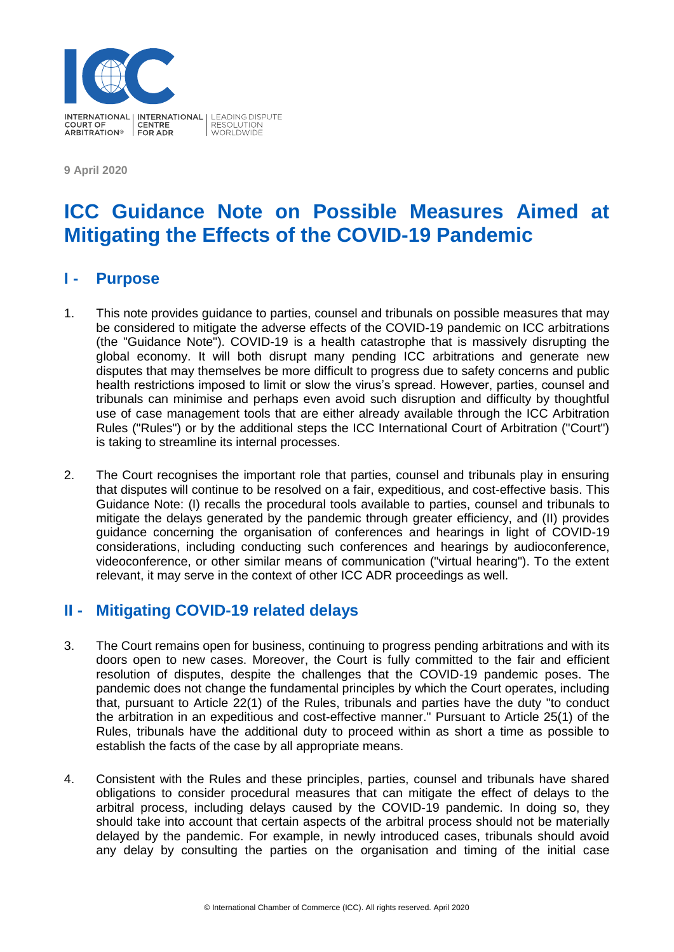

**9 April 2020**

# **ICC Guidance Note on Possible Measures Aimed at Mitigating the Effects of the COVID-19 Pandemic**

### **I - Purpose**

- 1. This note provides guidance to parties, counsel and tribunals on possible measures that may be considered to mitigate the adverse effects of the COVID-19 pandemic on ICC arbitrations (the "Guidance Note"). COVID-19 is a health catastrophe that is massively disrupting the global economy. It will both disrupt many pending ICC arbitrations and generate new disputes that may themselves be more difficult to progress due to safety concerns and public health restrictions imposed to limit or slow the virus's spread. However, parties, counsel and tribunals can minimise and perhaps even avoid such disruption and difficulty by thoughtful use of case management tools that are either already available through the ICC Arbitration Rules ("Rules") or by the additional steps the ICC International Court of Arbitration ("Court") is taking to streamline its internal processes.
- 2. The Court recognises the important role that parties, counsel and tribunals play in ensuring that disputes will continue to be resolved on a fair, expeditious, and cost-effective basis. This Guidance Note: (I) recalls the procedural tools available to parties, counsel and tribunals to mitigate the delays generated by the pandemic through greater efficiency, and (II) provides guidance concerning the organisation of conferences and hearings in light of COVID-19 considerations, including conducting such conferences and hearings by audioconference, videoconference, or other similar means of communication ("virtual hearing"). To the extent relevant, it may serve in the context of other ICC ADR proceedings as well.

# **II - Mitigating COVID-19 related delays**

- 3. The Court remains open for business, continuing to progress pending arbitrations and with its doors open to new cases. Moreover, the Court is fully committed to the fair and efficient resolution of disputes, despite the challenges that the COVID-19 pandemic poses. The pandemic does not change the fundamental principles by which the Court operates, including that, pursuant to Article 22(1) of the Rules, tribunals and parties have the duty "to conduct the arbitration in an expeditious and cost-effective manner." Pursuant to Article 25(1) of the Rules, tribunals have the additional duty to proceed within as short a time as possible to establish the facts of the case by all appropriate means.
- 4. Consistent with the Rules and these principles, parties, counsel and tribunals have shared obligations to consider procedural measures that can mitigate the effect of delays to the arbitral process, including delays caused by the COVID-19 pandemic. In doing so, they should take into account that certain aspects of the arbitral process should not be materially delayed by the pandemic. For example, in newly introduced cases, tribunals should avoid any delay by consulting the parties on the organisation and timing of the initial case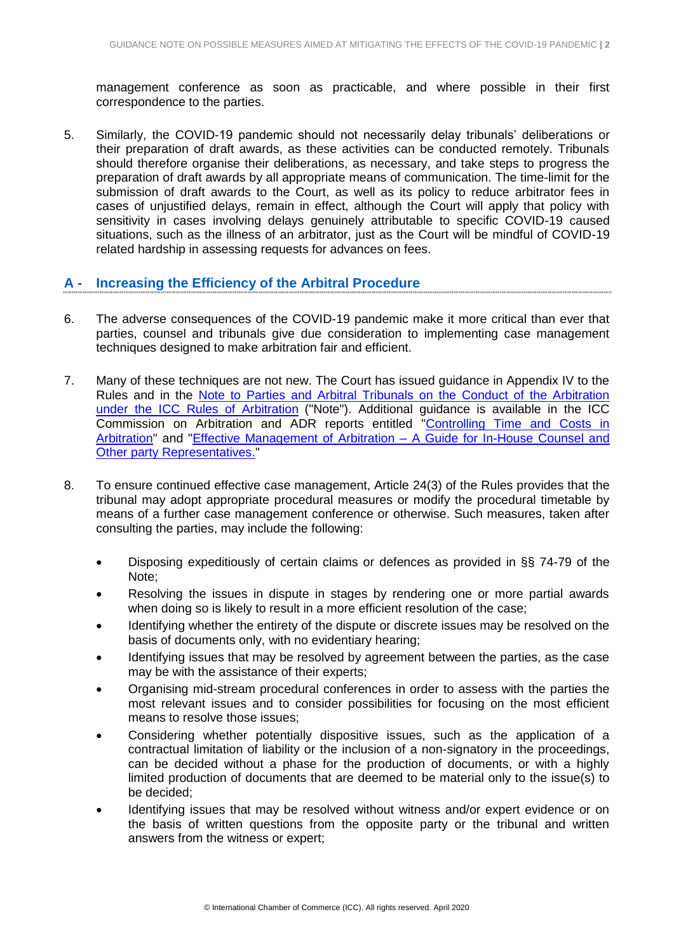management conference as soon as practicable, and where possible in their first correspondence to the parties.

5. Similarly, the COVID-19 pandemic should not necessarily delay tribunals' deliberations or their preparation of draft awards, as these activities can be conducted remotely. Tribunals should therefore organise their deliberations, as necessary, and take steps to progress the preparation of draft awards by all appropriate means of communication. The time-limit for the submission of draft awards to the Court, as well as its policy to reduce arbitrator fees in cases of unjustified delays, remain in effect, although the Court will apply that policy with sensitivity in cases involving delays genuinely attributable to specific COVID-19 caused situations, such as the illness of an arbitrator, just as the Court will be mindful of COVID-19 related hardship in assessing requests for advances on fees.

#### **A - Increasing the Efficiency of the Arbitral Procedure**

- 6. The adverse consequences of the COVID-19 pandemic make it more critical than ever that parties, counsel and tribunals give due consideration to implementing case management techniques designed to make arbitration fair and efficient.
- 7. Many of these techniques are not new. The Court has issued guidance in Appendix IV to the Rules and in the [Note to Parties and Arbitral Tribunals on the Conduct of the Arbitration](https://iccwbo.org/content/uploads/sites/3/2017/03/icc-note-to-parties-and-arbitral-tribunals-on-the-conduct-of-arbitration.pdf)  [under the ICC Rules of Arbitration](https://iccwbo.org/content/uploads/sites/3/2017/03/icc-note-to-parties-and-arbitral-tribunals-on-the-conduct-of-arbitration.pdf) ("Note"). Additional guidance is available in the ICC Commission on Arbitration and ADR reports entitled ["Controlling Time and Costs in](https://iccwbo.org/content/uploads/sites/3/2018/03/icc-arbitration-commission-report-on-techniques-for-controlling-time-and-costs-in-arbitration-english-version.pdf)  [Arbitration"](https://iccwbo.org/content/uploads/sites/3/2018/03/icc-arbitration-commission-report-on-techniques-for-controlling-time-and-costs-in-arbitration-english-version.pdf) and ["Effective Management of Arbitration –](https://iccwbo.org/content/uploads/sites/3/2017/05/effective-management-of-arbitration-icc-guide-english-version.pdf) A Guide for In-House Counsel and **[Other party Representatives.](https://iccwbo.org/content/uploads/sites/3/2017/05/effective-management-of-arbitration-icc-guide-english-version.pdf)"**
- 8. To ensure continued effective case management, Article 24(3) of the Rules provides that the tribunal may adopt appropriate procedural measures or modify the procedural timetable by means of a further case management conference or otherwise. Such measures, taken after consulting the parties, may include the following:
	- Disposing expeditiously of certain claims or defences as provided in §§ 74-79 of the Note;
	- Resolving the issues in dispute in stages by rendering one or more partial awards when doing so is likely to result in a more efficient resolution of the case;
	- Identifying whether the entirety of the dispute or discrete issues may be resolved on the basis of documents only, with no evidentiary hearing;
	- Identifying issues that may be resolved by agreement between the parties, as the case may be with the assistance of their experts;
	- Organising mid-stream procedural conferences in order to assess with the parties the most relevant issues and to consider possibilities for focusing on the most efficient means to resolve those issues;
	- Considering whether potentially dispositive issues, such as the application of a contractual limitation of liability or the inclusion of a non-signatory in the proceedings, can be decided without a phase for the production of documents, or with a highly limited production of documents that are deemed to be material only to the issue(s) to be decided;
	- Identifying issues that may be resolved without witness and/or expert evidence or on the basis of written questions from the opposite party or the tribunal and written answers from the witness or expert;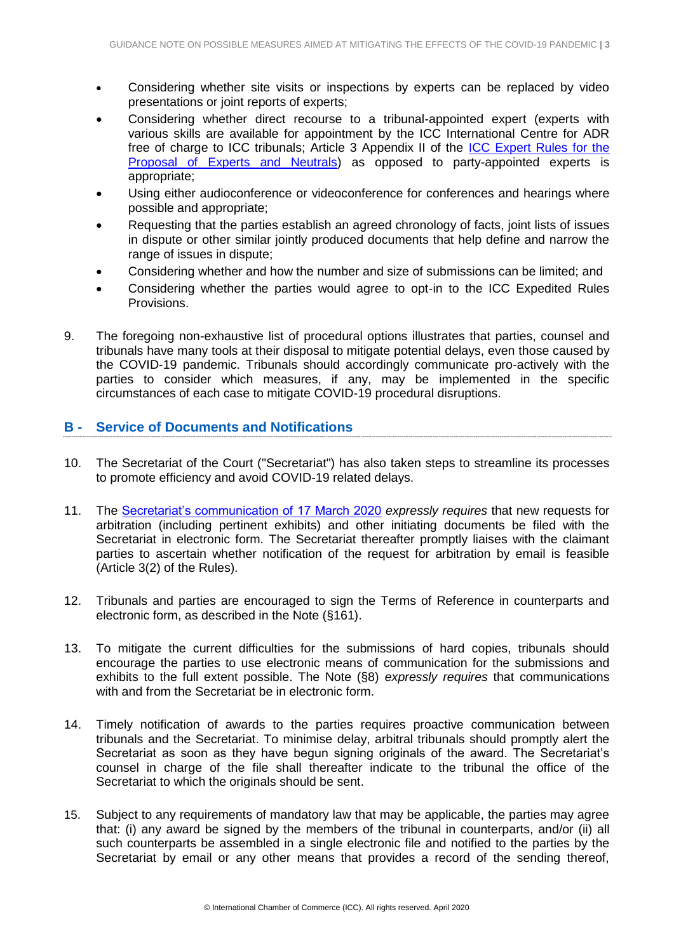- Considering whether site visits or inspections by experts can be replaced by video presentations or joint reports of experts;
- Considering whether direct recourse to a tribunal-appointed expert (experts with various skills are available for appointment by the ICC International Centre for ADR free of charge to ICC tribunals; Article 3 Appendix II of the [ICC Expert Rules for the](https://iccwbo.org/dispute-resolution-services/experts/proposal-experts-neutrals/rules-for-the-proposal-of-experts-and-neutrals/)  [Proposal of Experts and Neutrals\)](https://iccwbo.org/dispute-resolution-services/experts/proposal-experts-neutrals/rules-for-the-proposal-of-experts-and-neutrals/) as opposed to party-appointed experts is appropriate;
- Using either audioconference or videoconference for conferences and hearings where possible and appropriate;
- Requesting that the parties establish an agreed chronology of facts, joint lists of issues in dispute or other similar jointly produced documents that help define and narrow the range of issues in dispute;
- Considering whether and how the number and size of submissions can be limited; and
- Considering whether the parties would agree to opt-in to the ICC Expedited Rules Provisions.
- 9. The foregoing non-exhaustive list of procedural options illustrates that parties, counsel and tribunals have many tools at their disposal to mitigate potential delays, even those caused by the COVID-19 pandemic. Tribunals should accordingly communicate pro-actively with the parties to consider which measures, if any, may be implemented in the specific circumstances of each case to mitigate COVID-19 procedural disruptions.

#### **B - Service of Documents and Notifications**

- 10. The Secretariat of the Court ("Secretariat") has also taken steps to streamline its processes to promote efficiency and avoid COVID-19 related delays.
- 11. The [Secretariat's communication of 17 March 2020](https://iccwbo.org/media-wall/news-speeches/covid-19-urgent-communication-to-drs-users-arbitrators-and-other-neutrals/) *expressly requires* that new requests for arbitration (including pertinent exhibits) and other initiating documents be filed with the Secretariat in electronic form. The Secretariat thereafter promptly liaises with the claimant parties to ascertain whether notification of the request for arbitration by email is feasible (Article 3(2) of the Rules).
- 12. Tribunals and parties are encouraged to sign the Terms of Reference in counterparts and electronic form, as described in the Note (§161).
- 13. To mitigate the current difficulties for the submissions of hard copies, tribunals should encourage the parties to use electronic means of communication for the submissions and exhibits to the full extent possible. The Note (§8) *expressly requires* that communications with and from the Secretariat be in electronic form.
- 14. Timely notification of awards to the parties requires proactive communication between tribunals and the Secretariat. To minimise delay, arbitral tribunals should promptly alert the Secretariat as soon as they have begun signing originals of the award. The Secretariat's counsel in charge of the file shall thereafter indicate to the tribunal the office of the Secretariat to which the originals should be sent.
- 15. Subject to any requirements of mandatory law that may be applicable, the parties may agree that: (i) any award be signed by the members of the tribunal in counterparts, and/or (ii) all such counterparts be assembled in a single electronic file and notified to the parties by the Secretariat by email or any other means that provides a record of the sending thereof,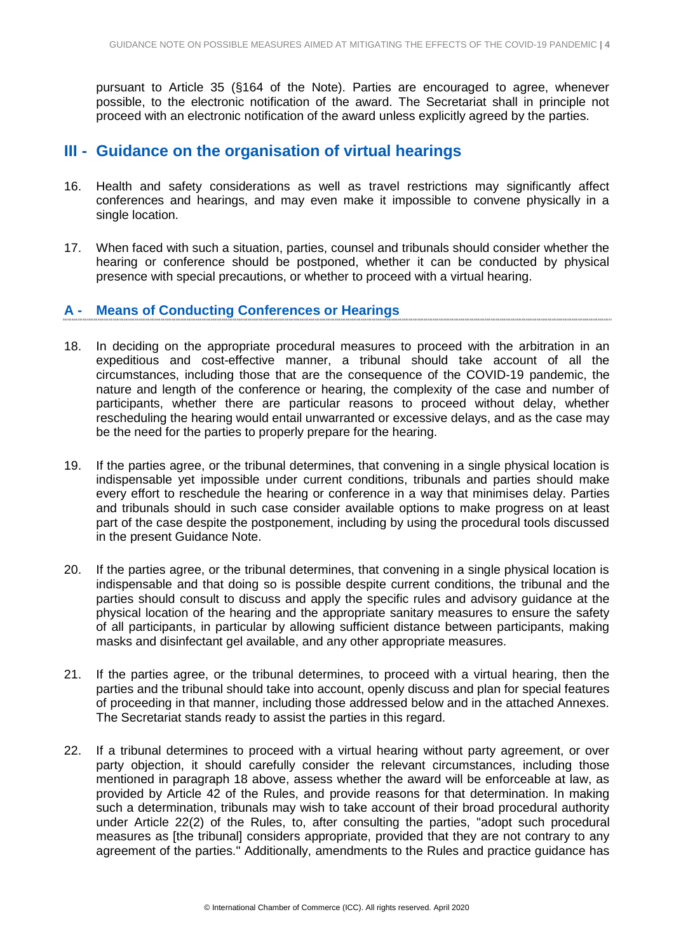pursuant to Article 35 (§164 of the Note). Parties are encouraged to agree, whenever possible, to the electronic notification of the award. The Secretariat shall in principle not proceed with an electronic notification of the award unless explicitly agreed by the parties.

### **III - Guidance on the organisation of virtual hearings**

- 16. Health and safety considerations as well as travel restrictions may significantly affect conferences and hearings, and may even make it impossible to convene physically in a single location.
- 17. When faced with such a situation, parties, counsel and tribunals should consider whether the hearing or conference should be postponed, whether it can be conducted by physical presence with special precautions, or whether to proceed with a virtual hearing.

#### **A - Means of Conducting Conferences or Hearings**

- 18. In deciding on the appropriate procedural measures to proceed with the arbitration in an expeditious and cost-effective manner, a tribunal should take account of all the circumstances, including those that are the consequence of the COVID-19 pandemic, the nature and length of the conference or hearing, the complexity of the case and number of participants, whether there are particular reasons to proceed without delay, whether rescheduling the hearing would entail unwarranted or excessive delays, and as the case may be the need for the parties to properly prepare for the hearing.
- 19. If the parties agree, or the tribunal determines, that convening in a single physical location is indispensable yet impossible under current conditions, tribunals and parties should make every effort to reschedule the hearing or conference in a way that minimises delay. Parties and tribunals should in such case consider available options to make progress on at least part of the case despite the postponement, including by using the procedural tools discussed in the present Guidance Note.
- 20. If the parties agree, or the tribunal determines, that convening in a single physical location is indispensable and that doing so is possible despite current conditions, the tribunal and the parties should consult to discuss and apply the specific rules and advisory guidance at the physical location of the hearing and the appropriate sanitary measures to ensure the safety of all participants, in particular by allowing sufficient distance between participants, making masks and disinfectant gel available, and any other appropriate measures.
- 21. If the parties agree, or the tribunal determines, to proceed with a virtual hearing, then the parties and the tribunal should take into account, openly discuss and plan for special features of proceeding in that manner, including those addressed below and in the attached Annexes. The Secretariat stands ready to assist the parties in this regard.
- 22. If a tribunal determines to proceed with a virtual hearing without party agreement, or over party objection, it should carefully consider the relevant circumstances, including those mentioned in paragraph 18 above, assess whether the award will be enforceable at law, as provided by Article 42 of the Rules, and provide reasons for that determination. In making such a determination, tribunals may wish to take account of their broad procedural authority under Article 22(2) of the Rules, to, after consulting the parties, "adopt such procedural measures as [the tribunal] considers appropriate, provided that they are not contrary to any agreement of the parties." Additionally, amendments to the Rules and practice guidance has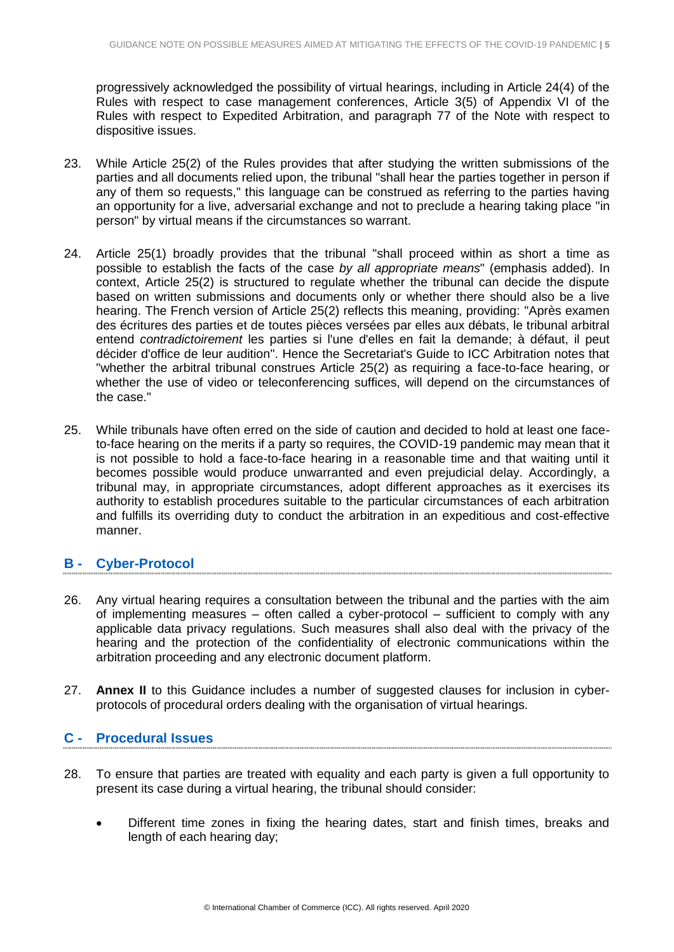progressively acknowledged the possibility of virtual hearings, including in Article 24(4) of the Rules with respect to case management conferences, Article 3(5) of Appendix VI of the Rules with respect to Expedited Arbitration, and paragraph 77 of the Note with respect to dispositive issues.

- 23. While Article 25(2) of the Rules provides that after studying the written submissions of the parties and all documents relied upon, the tribunal "shall hear the parties together in person if any of them so requests," this language can be construed as referring to the parties having an opportunity for a live, adversarial exchange and not to preclude a hearing taking place "in person" by virtual means if the circumstances so warrant.
- 24. Article 25(1) broadly provides that the tribunal "shall proceed within as short a time as possible to establish the facts of the case *by all appropriate means*" (emphasis added). In context, Article 25(2) is structured to regulate whether the tribunal can decide the dispute based on written submissions and documents only or whether there should also be a live hearing. The French version of Article 25(2) reflects this meaning, providing: "Après examen des écritures des parties et de toutes pièces versées par elles aux débats, le tribunal arbitral entend *contradictoirement* les parties si l'une d'elles en fait la demande; à défaut, il peut décider d'office de leur audition". Hence the Secretariat's Guide to ICC Arbitration notes that "whether the arbitral tribunal construes Article 25(2) as requiring a face-to-face hearing, or whether the use of video or teleconferencing suffices, will depend on the circumstances of the case."
- 25. While tribunals have often erred on the side of caution and decided to hold at least one faceto-face hearing on the merits if a party so requires, the COVID-19 pandemic may mean that it is not possible to hold a face-to-face hearing in a reasonable time and that waiting until it becomes possible would produce unwarranted and even prejudicial delay. Accordingly, a tribunal may, in appropriate circumstances, adopt different approaches as it exercises its authority to establish procedures suitable to the particular circumstances of each arbitration and fulfills its overriding duty to conduct the arbitration in an expeditious and cost-effective manner.

#### **B - Cyber-Protocol**

- 26. Any virtual hearing requires a consultation between the tribunal and the parties with the aim of implementing measures – often called a cyber-protocol – sufficient to comply with any applicable data privacy regulations. Such measures shall also deal with the privacy of the hearing and the protection of the confidentiality of electronic communications within the arbitration proceeding and any electronic document platform.
- 27. **Annex II** to this Guidance includes a number of suggested clauses for inclusion in cyberprotocols of procedural orders dealing with the organisation of virtual hearings.

#### **C - Procedural Issues**

- 28. To ensure that parties are treated with equality and each party is given a full opportunity to present its case during a virtual hearing, the tribunal should consider:
	- Different time zones in fixing the hearing dates, start and finish times, breaks and length of each hearing day;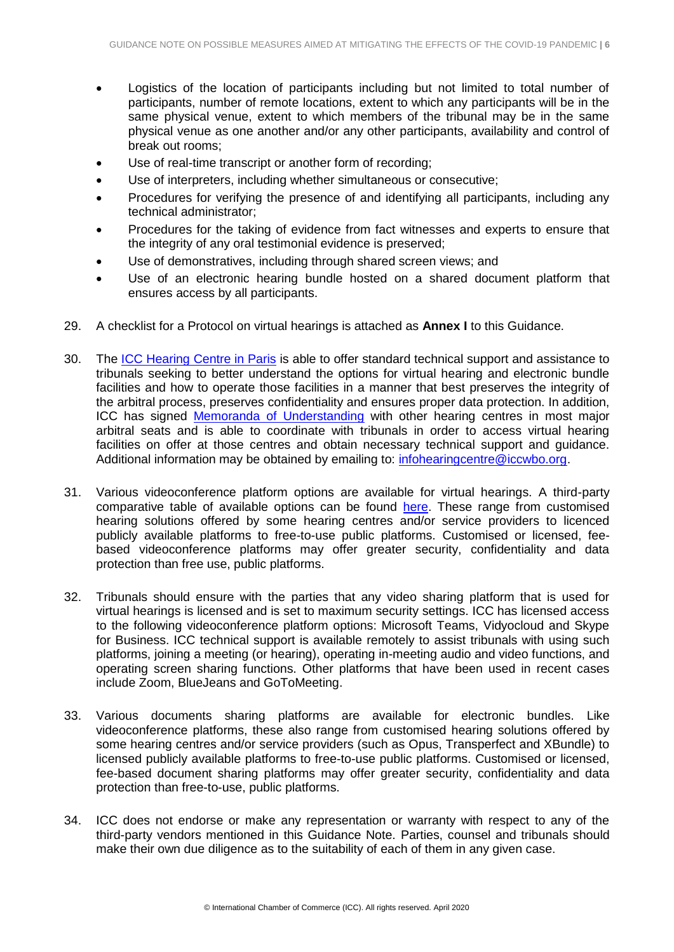- Logistics of the location of participants including but not limited to total number of participants, number of remote locations, extent to which any participants will be in the same physical venue, extent to which members of the tribunal may be in the same physical venue as one another and/or any other participants, availability and control of break out rooms;
- Use of real-time transcript or another form of recording;
- Use of interpreters, including whether simultaneous or consecutive;
- Procedures for verifying the presence of and identifying all participants, including any technical administrator;
- Procedures for the taking of evidence from fact witnesses and experts to ensure that the integrity of any oral testimonial evidence is preserved;
- Use of demonstratives, including through shared screen views; and
- Use of an electronic hearing bundle hosted on a shared document platform that ensures access by all participants.
- 29. A checklist for a Protocol on virtual hearings is attached as **Annex I** to this Guidance.
- 30. The [ICC Hearing Centre in Paris](https://iccwbo.org/dispute-resolution-services/hearing-centre/) is able to offer standard technical support and assistance to tribunals seeking to better understand the options for virtual hearing and electronic bundle facilities and how to operate those facilities in a manner that best preserves the integrity of the arbitral process, preserves confidentiality and ensures proper data protection. In addition, ICC has signed [Memoranda of Understanding](https://iccwbo.org/dispute-resolution-services/memorandums-understanding-mous/) with other hearing centres in most major arbitral seats and is able to coordinate with tribunals in order to access virtual hearing facilities on offer at those centres and obtain necessary technical support and guidance. Additional information may be obtained by emailing to: [infohearingcentre@iccwbo.org.](mailto:infohearingcentre@iccwbo.org)
- 31. Various videoconference platform options are available for virtual hearings. A third-party comparative table of available options can be found [here.](https://en.wikipedia.org/wiki/Comparison_of_web_conferencing_software) These range from customised hearing solutions offered by some hearing centres and/or service providers to licenced publicly available platforms to free-to-use public platforms. Customised or licensed, feebased videoconference platforms may offer greater security, confidentiality and data protection than free use, public platforms.
- 32. Tribunals should ensure with the parties that any video sharing platform that is used for virtual hearings is licensed and is set to maximum security settings. ICC has licensed access to the following videoconference platform options: Microsoft Teams, Vidyocloud and Skype for Business. ICC technical support is available remotely to assist tribunals with using such platforms, joining a meeting (or hearing), operating in-meeting audio and video functions, and operating screen sharing functions. Other platforms that have been used in recent cases include Zoom, BlueJeans and GoToMeeting.
- 33. Various documents sharing platforms are available for electronic bundles. Like videoconference platforms, these also range from customised hearing solutions offered by some hearing centres and/or service providers (such as Opus, Transperfect and XBundle) to licensed publicly available platforms to free-to-use public platforms. Customised or licensed, fee-based document sharing platforms may offer greater security, confidentiality and data protection than free-to-use, public platforms.
- 34. ICC does not endorse or make any representation or warranty with respect to any of the third-party vendors mentioned in this Guidance Note. Parties, counsel and tribunals should make their own due diligence as to the suitability of each of them in any given case.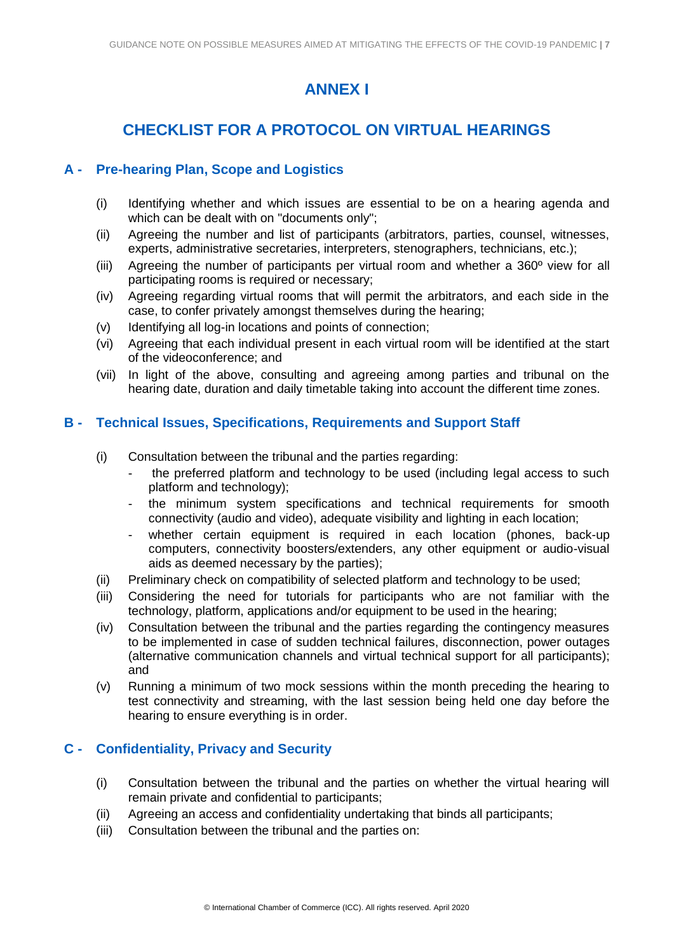# **ANNEX I**

# **CHECKLIST FOR A PROTOCOL ON VIRTUAL HEARINGS**

#### **A - Pre-hearing Plan, Scope and Logistics**

- (i) Identifying whether and which issues are essential to be on a hearing agenda and which can be dealt with on "documents only";
- (ii) Agreeing the number and list of participants (arbitrators, parties, counsel, witnesses, experts, administrative secretaries, interpreters, stenographers, technicians, etc.);
- (iii) Agreeing the number of participants per virtual room and whether a 360º view for all participating rooms is required or necessary;
- (iv) Agreeing regarding virtual rooms that will permit the arbitrators, and each side in the case, to confer privately amongst themselves during the hearing;
- (v) Identifying all log-in locations and points of connection;
- (vi) Agreeing that each individual present in each virtual room will be identified at the start of the videoconference; and
- (vii) In light of the above, consulting and agreeing among parties and tribunal on the hearing date, duration and daily timetable taking into account the different time zones.

#### **B - Technical Issues, Specifications, Requirements and Support Staff**

- (i) Consultation between the tribunal and the parties regarding:
	- the preferred platform and technology to be used (including legal access to such platform and technology);
	- the minimum system specifications and technical requirements for smooth connectivity (audio and video), adequate visibility and lighting in each location;
	- whether certain equipment is required in each location (phones, back-up computers, connectivity boosters/extenders, any other equipment or audio-visual aids as deemed necessary by the parties);
- (ii) Preliminary check on compatibility of selected platform and technology to be used;
- (iii) Considering the need for tutorials for participants who are not familiar with the technology, platform, applications and/or equipment to be used in the hearing;
- (iv) Consultation between the tribunal and the parties regarding the contingency measures to be implemented in case of sudden technical failures, disconnection, power outages (alternative communication channels and virtual technical support for all participants); and
- (v) Running a minimum of two mock sessions within the month preceding the hearing to test connectivity and streaming, with the last session being held one day before the hearing to ensure everything is in order.

#### **C - Confidentiality, Privacy and Security**

- (i) Consultation between the tribunal and the parties on whether the virtual hearing will remain private and confidential to participants;
- (ii) Agreeing an access and confidentiality undertaking that binds all participants;
- (iii) Consultation between the tribunal and the parties on: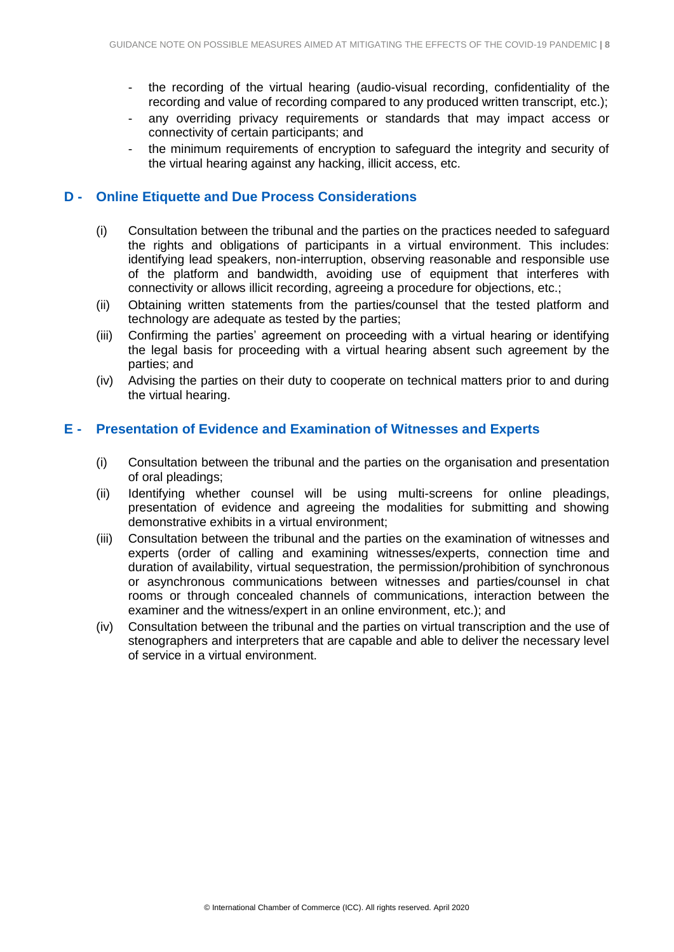- the recording of the virtual hearing (audio-visual recording, confidentiality of the recording and value of recording compared to any produced written transcript, etc.);
- any overriding privacy requirements or standards that may impact access or connectivity of certain participants; and
- the minimum requirements of encryption to safeguard the integrity and security of the virtual hearing against any hacking, illicit access, etc.

#### **D - Online Etiquette and Due Process Considerations**

- (i) Consultation between the tribunal and the parties on the practices needed to safeguard the rights and obligations of participants in a virtual environment. This includes: identifying lead speakers, non-interruption, observing reasonable and responsible use of the platform and bandwidth, avoiding use of equipment that interferes with connectivity or allows illicit recording, agreeing a procedure for objections, etc.;
- (ii) Obtaining written statements from the parties/counsel that the tested platform and technology are adequate as tested by the parties;
- (iii) Confirming the parties' agreement on proceeding with a virtual hearing or identifying the legal basis for proceeding with a virtual hearing absent such agreement by the parties; and
- (iv) Advising the parties on their duty to cooperate on technical matters prior to and during the virtual hearing.

#### **E - Presentation of Evidence and Examination of Witnesses and Experts**

- (i) Consultation between the tribunal and the parties on the organisation and presentation of oral pleadings;
- (ii) Identifying whether counsel will be using multi-screens for online pleadings, presentation of evidence and agreeing the modalities for submitting and showing demonstrative exhibits in a virtual environment;
- (iii) Consultation between the tribunal and the parties on the examination of witnesses and experts (order of calling and examining witnesses/experts, connection time and duration of availability, virtual sequestration, the permission/prohibition of synchronous or asynchronous communications between witnesses and parties/counsel in chat rooms or through concealed channels of communications, interaction between the examiner and the witness/expert in an online environment, etc.); and
- (iv) Consultation between the tribunal and the parties on virtual transcription and the use of stenographers and interpreters that are capable and able to deliver the necessary level of service in a virtual environment.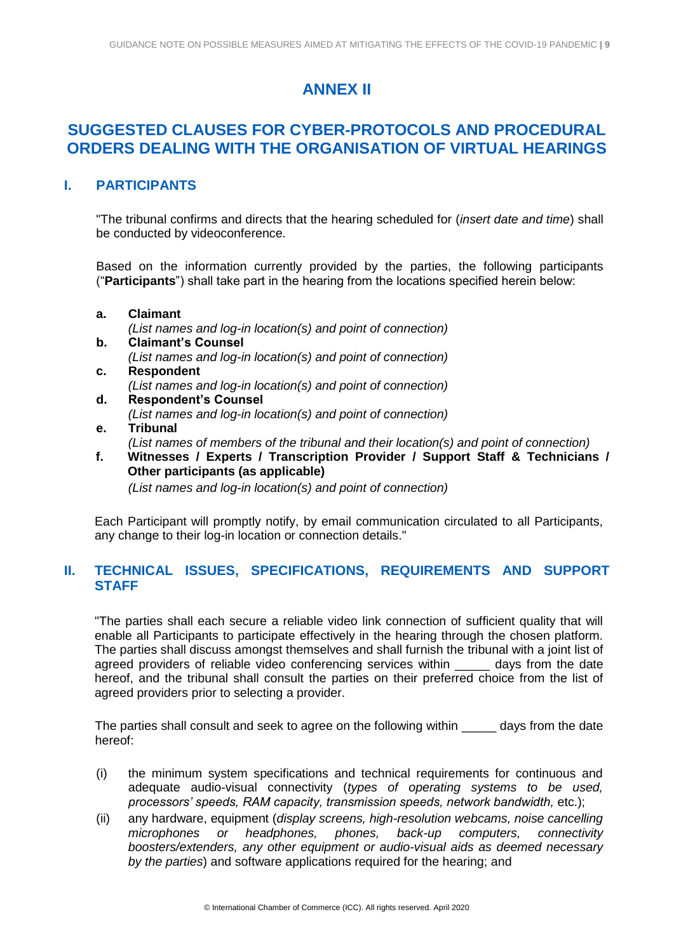# **ANNEX II**

### **SUGGESTED CLAUSES FOR CYBER-PROTOCOLS AND PROCEDURAL ORDERS DEALING WITH THE ORGANISATION OF VIRTUAL HEARINGS**

#### **I. PARTICIPANTS**

"The tribunal confirms and directs that the hearing scheduled for (*insert date and time*) shall be conducted by videoconference.

Based on the information currently provided by the parties, the following participants ("**Participants**") shall take part in the hearing from the locations specified herein below:

- **a. Claimant**  *(List names and log-in location(s) and point of connection)* **b. Claimant's Counsel** *(List names and log-in location(s) and point of connection)*
- **c. Respondent**  *(List names and log-in location(s) and point of connection)*
- **d. Respondent's Counsel**  *(List names and log-in location(s) and point of connection)* **e. Tribunal**
- 
- *(List names of members of the tribunal and their location(s) and point of connection)* **f. Witnesses / Experts / Transcription Provider / Support Staff & Technicians /** 
	- **Other participants (as applicable)** *(List names and log-in location(s) and point of connection)*

Each Participant will promptly notify, by email communication circulated to all Participants, any change to their log-in location or connection details."

#### **II. TECHNICAL ISSUES, SPECIFICATIONS, REQUIREMENTS AND SUPPORT STAFF**

"The parties shall each secure a reliable video link connection of sufficient quality that will enable all Participants to participate effectively in the hearing through the chosen platform. The parties shall discuss amongst themselves and shall furnish the tribunal with a joint list of agreed providers of reliable video conferencing services within days from the date hereof, and the tribunal shall consult the parties on their preferred choice from the list of agreed providers prior to selecting a provider.

The parties shall consult and seek to agree on the following within days from the date hereof:

- (i) the minimum system specifications and technical requirements for continuous and adequate audio-visual connectivity (*types of operating systems to be used, processors' speeds, RAM capacity, transmission speeds, network bandwidth,* etc.);
- (ii) any hardware, equipment (*display screens, high-resolution webcams, noise cancelling microphones or headphones, phones, back-up computers, connectivity boosters/extenders, any other equipment or audio-visual aids as deemed necessary by the parties*) and software applications required for the hearing; and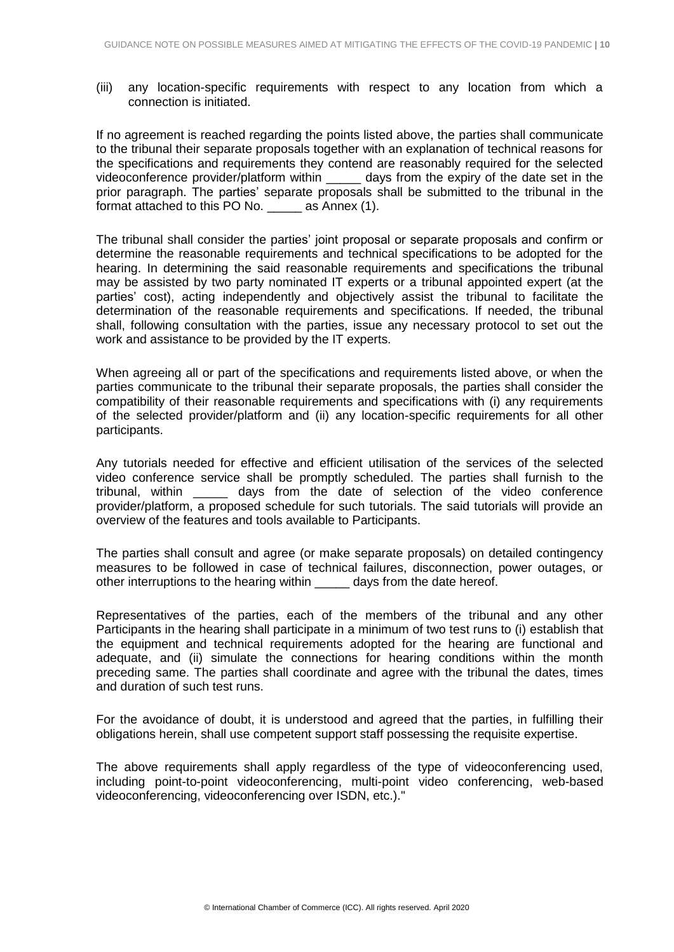(iii) any location-specific requirements with respect to any location from which a connection is initiated.

If no agreement is reached regarding the points listed above, the parties shall communicate to the tribunal their separate proposals together with an explanation of technical reasons for the specifications and requirements they contend are reasonably required for the selected videoconference provider/platform within \_\_\_\_\_ days from the expiry of the date set in the prior paragraph. The parties' separate proposals shall be submitted to the tribunal in the format attached to this PO No. **Example 2** as Annex (1).

The tribunal shall consider the parties' joint proposal or separate proposals and confirm or determine the reasonable requirements and technical specifications to be adopted for the hearing. In determining the said reasonable requirements and specifications the tribunal may be assisted by two party nominated IT experts or a tribunal appointed expert (at the parties' cost), acting independently and objectively assist the tribunal to facilitate the determination of the reasonable requirements and specifications. If needed, the tribunal shall, following consultation with the parties, issue any necessary protocol to set out the work and assistance to be provided by the IT experts.

When agreeing all or part of the specifications and requirements listed above, or when the parties communicate to the tribunal their separate proposals, the parties shall consider the compatibility of their reasonable requirements and specifications with (i) any requirements of the selected provider/platform and (ii) any location-specific requirements for all other participants.

Any tutorials needed for effective and efficient utilisation of the services of the selected video conference service shall be promptly scheduled. The parties shall furnish to the tribunal, within \_\_\_\_\_ days from the date of selection of the video conference provider/platform, a proposed schedule for such tutorials. The said tutorials will provide an overview of the features and tools available to Participants.

The parties shall consult and agree (or make separate proposals) on detailed contingency measures to be followed in case of technical failures, disconnection, power outages, or other interruptions to the hearing within days from the date hereof.

Representatives of the parties, each of the members of the tribunal and any other Participants in the hearing shall participate in a minimum of two test runs to (i) establish that the equipment and technical requirements adopted for the hearing are functional and adequate, and (ii) simulate the connections for hearing conditions within the month preceding same. The parties shall coordinate and agree with the tribunal the dates, times and duration of such test runs.

For the avoidance of doubt, it is understood and agreed that the parties, in fulfilling their obligations herein, shall use competent support staff possessing the requisite expertise.

The above requirements shall apply regardless of the type of videoconferencing used, including point-to-point videoconferencing, multi-point video conferencing, web-based videoconferencing, videoconferencing over ISDN, etc.)."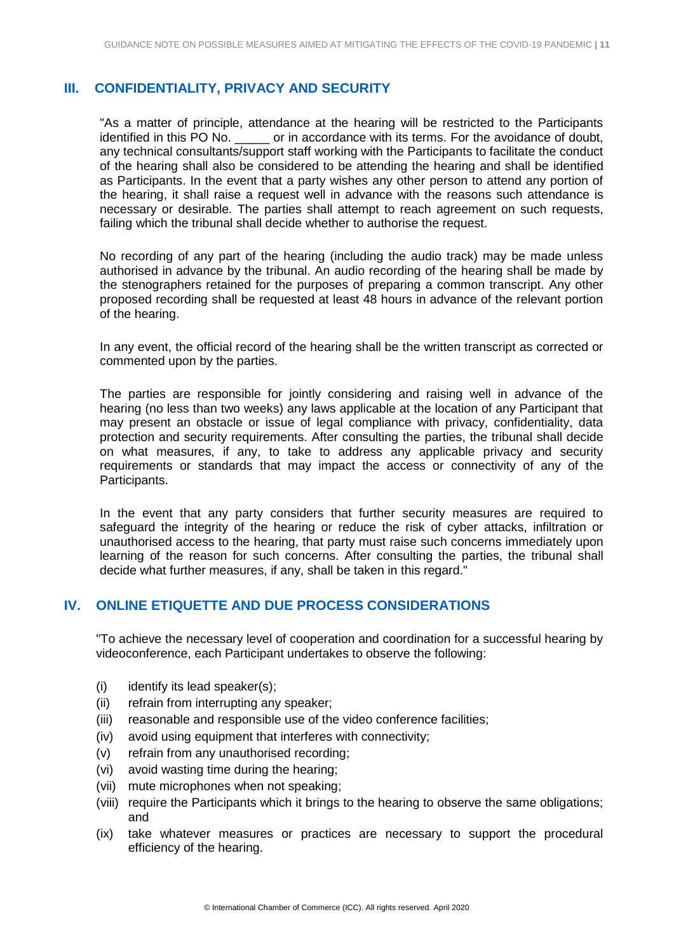#### **III. CONFIDENTIALITY, PRIVACY AND SECURITY**

"As a matter of principle, attendance at the hearing will be restricted to the Participants identified in this PO No. \_\_\_\_\_ or in accordance with its terms. For the avoidance of doubt, any technical consultants/support staff working with the Participants to facilitate the conduct of the hearing shall also be considered to be attending the hearing and shall be identified as Participants. In the event that a party wishes any other person to attend any portion of the hearing, it shall raise a request well in advance with the reasons such attendance is necessary or desirable. The parties shall attempt to reach agreement on such requests, failing which the tribunal shall decide whether to authorise the request.

No recording of any part of the hearing (including the audio track) may be made unless authorised in advance by the tribunal. An audio recording of the hearing shall be made by the stenographers retained for the purposes of preparing a common transcript. Any other proposed recording shall be requested at least 48 hours in advance of the relevant portion of the hearing.

In any event, the official record of the hearing shall be the written transcript as corrected or commented upon by the parties.

The parties are responsible for jointly considering and raising well in advance of the hearing (no less than two weeks) any laws applicable at the location of any Participant that may present an obstacle or issue of legal compliance with privacy, confidentiality, data protection and security requirements. After consulting the parties, the tribunal shall decide on what measures, if any, to take to address any applicable privacy and security requirements or standards that may impact the access or connectivity of any of the Participants.

In the event that any party considers that further security measures are required to safeguard the integrity of the hearing or reduce the risk of cyber attacks, infiltration or unauthorised access to the hearing, that party must raise such concerns immediately upon learning of the reason for such concerns. After consulting the parties, the tribunal shall decide what further measures, if any, shall be taken in this regard."

#### **IV. ONLINE ETIQUETTE AND DUE PROCESS CONSIDERATIONS**

"To achieve the necessary level of cooperation and coordination for a successful hearing by videoconference, each Participant undertakes to observe the following:

- (i) identify its lead speaker(s);
- (ii) refrain from interrupting any speaker;
- (iii) reasonable and responsible use of the video conference facilities;
- (iv) avoid using equipment that interferes with connectivity;
- (v) refrain from any unauthorised recording;
- (vi) avoid wasting time during the hearing;
- (vii) mute microphones when not speaking;
- (viii) require the Participants which it brings to the hearing to observe the same obligations; and
- (ix) take whatever measures or practices are necessary to support the procedural efficiency of the hearing.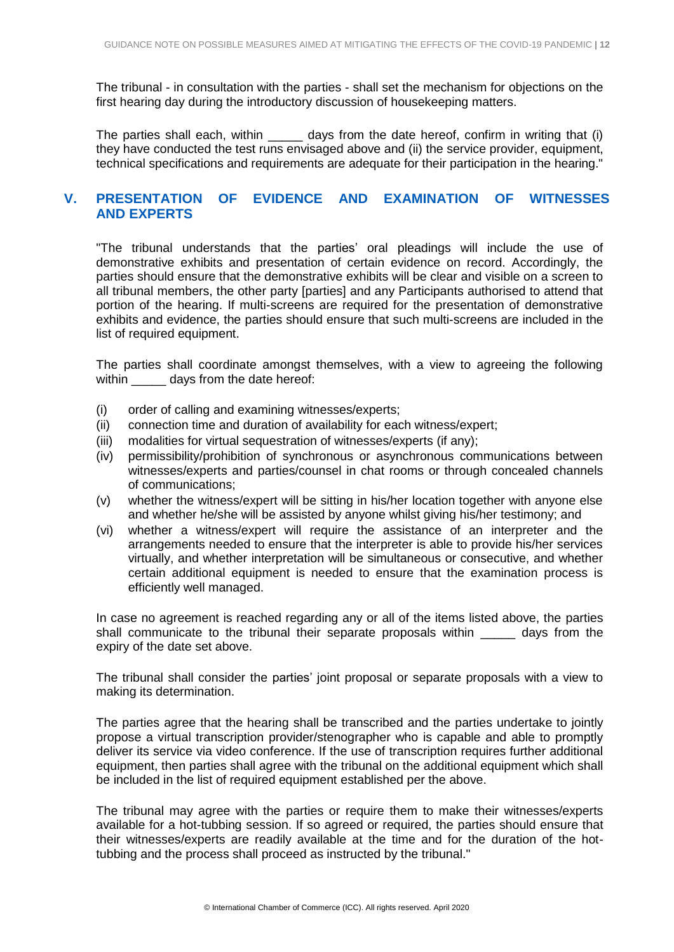The tribunal - in consultation with the parties - shall set the mechanism for objections on the first hearing day during the introductory discussion of housekeeping matters.

The parties shall each, within \_\_\_\_\_\_ days from the date hereof, confirm in writing that (i) they have conducted the test runs envisaged above and (ii) the service provider, equipment, technical specifications and requirements are adequate for their participation in the hearing."

#### **V. PRESENTATION OF EVIDENCE AND EXAMINATION OF WITNESSES AND EXPERTS**

"The tribunal understands that the parties' oral pleadings will include the use of demonstrative exhibits and presentation of certain evidence on record. Accordingly, the parties should ensure that the demonstrative exhibits will be clear and visible on a screen to all tribunal members, the other party [parties] and any Participants authorised to attend that portion of the hearing. If multi-screens are required for the presentation of demonstrative exhibits and evidence, the parties should ensure that such multi-screens are included in the list of required equipment.

The parties shall coordinate amongst themselves, with a view to agreeing the following within days from the date hereof:

- (i) order of calling and examining witnesses/experts;
- (ii) connection time and duration of availability for each witness/expert;
- (iii) modalities for virtual sequestration of witnesses/experts (if any);
- (iv) permissibility/prohibition of synchronous or asynchronous communications between witnesses/experts and parties/counsel in chat rooms or through concealed channels of communications;
- (v) whether the witness/expert will be sitting in his/her location together with anyone else and whether he/she will be assisted by anyone whilst giving his/her testimony; and
- (vi) whether a witness/expert will require the assistance of an interpreter and the arrangements needed to ensure that the interpreter is able to provide his/her services virtually, and whether interpretation will be simultaneous or consecutive, and whether certain additional equipment is needed to ensure that the examination process is efficiently well managed.

In case no agreement is reached regarding any or all of the items listed above, the parties shall communicate to the tribunal their separate proposals within days from the expiry of the date set above.

The tribunal shall consider the parties' joint proposal or separate proposals with a view to making its determination.

The parties agree that the hearing shall be transcribed and the parties undertake to jointly propose a virtual transcription provider/stenographer who is capable and able to promptly deliver its service via video conference. If the use of transcription requires further additional equipment, then parties shall agree with the tribunal on the additional equipment which shall be included in the list of required equipment established per the above.

The tribunal may agree with the parties or require them to make their witnesses/experts available for a hot-tubbing session. If so agreed or required, the parties should ensure that their witnesses/experts are readily available at the time and for the duration of the hottubbing and the process shall proceed as instructed by the tribunal."